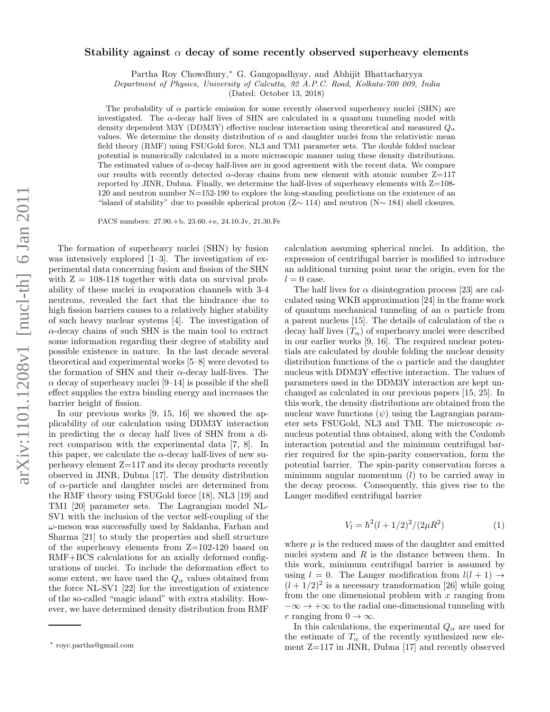## Stability against  $\alpha$  decay of some recently observed superheavy elements

Partha Roy Chowdhury, <sup>∗</sup> G. Gangopadhyay, and Abhijit Bhattacharyya

Department of Physics, University of Calcutta, 92 A.P.C. Road, Kolkata-700 009, India

(Dated: October 13, 2018)

The probability of  $\alpha$  particle emission for some recently observed superheavy nuclei (SHN) are investigated. The α-decay half lives of SHN are calculated in a quantum tunneling model with density dependent M3Y (DDM3Y) effective nuclear interaction using theoretical and measured  $Q_{\alpha}$ values. We determine the density distribution of  $\alpha$  and daughter nuclei from the relativistic mean field theory (RMF) using FSUGold force, NL3 and TM1 parameter sets. The double folded nuclear potential is numerically calculated in a more microscopic manner using these density distributions. The estimated values of  $\alpha$ -decay half-lives are in good agreement with the recent data. We compare our results with recently detected  $\alpha$ -decay chains from new element with atomic number  $Z=117$ reported by JINR, Dubna. Finally, we determine the half-lives of superheavy elements with  $Z=108$ -120 and neutron number N=152-190 to explore the long-standing predictions on the existence of an "island of stability" due to possible spherical proton (Z ∼ 114) and neutron (N ∼ 184) shell closures.

PACS numbers: 27.90.+b, 23.60.+e, 24.10.Jv, 21.30.Fe

The formation of superheavy nuclei (SHN) by fusion was intensively explored [1–3]. The investigation of experimental data concerning fusion and fission of the SHN with  $Z = 108-118$  together with data on survival probability of these nuclei in evaporation channels with 3-4 neutrons, revealed the fact that the hindrance due to high fission barriers causes to a relatively higher stability of such heavy nuclear systems [4]. The investigation of  $\alpha$ -decay chains of such SHN is the main tool to extract some information regarding their degree of stability and possible existence in nature. In the last decade several theoretical and experimental works [5–8] were devoted to the formation of SHN and their  $\alpha$ -decay half-lives. The  $\alpha$  decay of superheavy nuclei [9–14] is possible if the shell effect supplies the extra binding energy and increases the barrier height of fission.

In our previous works [9, 15, 16] we showed the applicability of our calculation using DDM3Y interaction in predicting the  $\alpha$  decay half lives of SHN from a direct comparison with the experimental data [7, 8]. In this paper, we calculate the  $\alpha$ -decay half-lives of new superheavy element Z=117 and its decay products recently observed in JINR, Dubna [17]. The density distribution of α-particle and daughter nuclei are determined from the RMF theory using FSUGold force [18], NL3 [19] and TM1 [20] parameter sets. The Lagrangian model NL-SV1 with the inclusion of the vector self-coupling of the  $\omega$ -meson was successfully used by Saldanha, Farhan and Sharma [21] to study the properties and shell structure of the superheavy elements from Z=102-120 based on RMF+BCS calculations for an axially deformed configurations of nuclei. To include the deformation effect to some extent, we have used the  $Q_{\alpha}$  values obtained from the force NL-SV1 [22] for the investigation of existence of the so-called "magic island" with extra stability. However, we have determined density distribution from RMF

calculation assuming spherical nuclei. In addition, the expression of centrifugal barrier is modified to introduce an additional turning point near the origin, even for the  $l = 0$  case.

The half lives for  $\alpha$  disintegration process [23] are calculated using WKB approximation [24] in the frame work of quantum mechanical tunneling of an  $\alpha$  particle from a parent nucleus [15]. The details of calculation of the  $\alpha$ decay half lives  $(T_\alpha)$  of superheavy nuclei were described in our earlier works [9, 16]. The required nuclear potentials are calculated by double folding the nuclear density distribution functions of the  $\alpha$  particle and the daughter nucleus with DDM3Y effective interaction. The values of parameters used in the DDM3Y interaction are kept unchanged as calculated in our previous papers [15, 25]. In this work, the density distributions are obtained from the nuclear wave functions  $(\psi)$  using the Lagrangian parameter sets FSUGold, NL3 and TMI. The microscopic  $\alpha$ nucleus potential thus obtained, along with the Coulomb interaction potential and the minimum centrifugal barrier required for the spin-parity conservation, form the potential barrier. The spin-parity conservation forces a minimum angular momentum ( l) to be carried away in the decay process. Consequently, this gives rise to the Langer modified centrifugal barrier

$$
V_l = \hbar^2 (l + 1/2)^2 / (2\mu R^2)
$$
 (1)

where  $\mu$  is the reduced mass of the daughter and emitted nuclei system and  $R$  is the distance between them. In this work, minimum centrifugal barrier is assumed by using  $l = 0$ . The Langer modification from  $l(l + 1) \rightarrow$  $(l+1/2)^2$  is a necessary transformation [26] while going from the one dimensional problem with  $x$  ranging from  $-\infty \to +\infty$  to the radial one-dimensional tunneling with r ranging from  $0 \to \infty$ .

In this calculations, the experimental  $Q_{\alpha}$  are used for the estimate of  $T_{\alpha}$  of the recently synthesized new element Z=117 in JINR, Dubna [17] and recently observed

<sup>∗</sup> royc.partha@gmail.com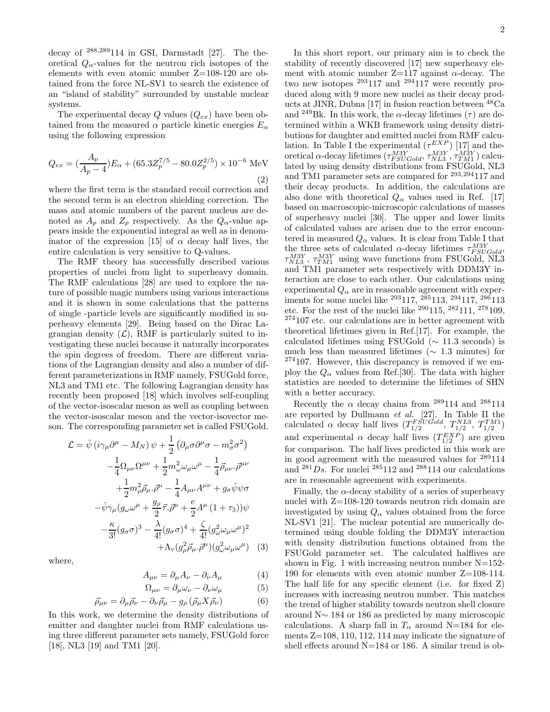decay of <sup>288</sup>,<sup>289</sup>114 in GSI, Darmstadt [27]. The theoretical  $Q_{\alpha}$ -values for the neutron rich isotopes of the elements with even atomic number Z=108-120 are obtained from the force NL-SV1 to search the existence of an "island of stability" surrounded by unstable nuclear systems.

The experimental decay Q values  $(Q_{ex})$  have been obtained from the measured  $\alpha$  particle kinetic energies  $E_{\alpha}$ using the following expression

$$
Q_{ex} = \left(\frac{A_p}{A_p - 4}\right) E_\alpha + \left(65.3 Z_p^{7/5} - 80.0 Z_p^{2/5}\right) \times 10^{-6} \text{ MeV}
$$
\n(2)

where the first term is the standard recoil correction and the second term is an electron shielding correction. The mass and atomic numbers of the parent nucleus are denoted as  $A_p$  and  $Z_p$  respectively. As the  $Q_\alpha$ -value appears inside the exponential integral as well as in denominator of the expression [15] of  $\alpha$  decay half lives, the entire calculation is very sensitive to Q-values.

The RMF theory has successfully described various properties of nuclei from light to superheavy domain. The RMF calculations [28] are used to explore the nature of possible magic numbers using various interactions and it is shown in some calculations that the patterns of single -particle levels are significantly modified in superheavy elements [29]. Being based on the Dirac Lagrangian density  $(\mathcal{L})$ , RMF is particularly suited to investigating these nuclei because it naturally incorporates the spin degrees of freedom. There are different variations of the Lagrangian density and also a number of different parameterizations in RMF namely, FSUGold force, NL3 and TM1 etc. The following Lagrangian density has recently been proposed [18] which involves self-coupling of the vector-isoscalar meson as well as coupling between the vector-isoscalar meson and the vector-isovector meson. The corresponding parameter set is called FSUGold.

$$
\mathcal{L} = \bar{\psi} \left( i \gamma_{\mu} \partial^{\mu} - M_{N} \right) \psi + \frac{1}{2} \left( \partial_{\mu} \sigma \partial^{\mu} \sigma - m_{\sigma}^{2} \sigma^{2} \right) \n- \frac{1}{4} \Omega_{\mu\nu} \Omega^{\mu\nu} + \frac{1}{2} m_{\omega}^{2} \omega_{\mu} \omega^{\mu} - \frac{1}{4} \vec{\rho}_{\mu\nu} \cdot \vec{\rho}^{\mu\nu} \n+ \frac{1}{2} m_{\rho}^{2} \vec{\rho}_{\mu} \cdot \vec{\rho}^{\mu} - \frac{1}{4} A_{\mu\nu} A^{\mu\nu} + g_{\sigma} \bar{\psi} \psi \sigma \n- \bar{\psi} \gamma_{\mu} (g_{\omega} \omega^{\mu} + \frac{g_{\rho}}{2} \vec{\tau} \cdot \vec{\rho}^{\mu} + \frac{e}{2} A^{\mu} (1 + \tau_{3})) \psi \n- \frac{\kappa}{3!} (g_{\sigma} \sigma)^{3} - \frac{\lambda}{4!} (g_{\sigma} \sigma)^{4} + \frac{\zeta}{4!} (g_{\omega}^{2} \omega_{\mu} \omega^{\mu})^{2} \n+ \Lambda_{v} (g_{\rho}^{2} \vec{\rho}_{\mu} \cdot \vec{\rho}^{\mu}) (g_{\omega}^{2} \omega_{\mu} \omega^{\mu}) \quad (3)
$$

where,

$$
A_{\mu\nu} = \partial_{\mu}A_{\nu} - \partial_{\nu}A_{\mu} \tag{4}
$$

$$
\Omega_{\mu\nu} = \partial_{\mu}\omega_{\nu} - \partial_{\nu}\omega_{\mu} \tag{5}
$$

$$
\vec{\rho}_{\mu\nu} = \partial_{\mu}\vec{\rho}_{\nu} - \partial_{\nu}\vec{\rho}_{\mu} - g_{\rho}(\vec{\rho}_{\mu}X\vec{\rho}_{\nu})
$$
(6)

In this work, we determine the density distributions of emitter and daughter nuclei from RMF calculations using three different parameter sets namely, FSUGold force [18], NL3 [19] and TM1 [20].

In this short report, our primary aim is to check the stability of recently discovered [17] new superheavy element with atomic number  $Z=117$  against  $\alpha$ -decay. The two new isotopes <sup>293</sup>117 and <sup>294</sup>117 were recently produced along with 9 more new nuclei as their decay products at JINR, Dubna [17] in fusion reaction between  ${}^{48}Ca$ and <sup>249</sup>Bk. In this work, the  $\alpha$ -decay lifetimes ( $\tau$ ) are determined within a WKB framework using density distributions for daughter and emitted nuclei from RMF calculation. In Table I the experimental  $(\tau^{EXP})$  [17] and theoretical  $\alpha$ -decay lifetimes  $(\tau_{FSUGold}^{M3Y}, \tau_{NLS}^{M3Y}, \tau_{TMI}^{M3Y})$  calculated by using density distributions from FSUGold, NL3 and TM1 parameter sets are compared for <sup>293</sup>,<sup>294</sup>117 and their decay products. In addition, the calculations are also done with theoretical  $Q_{\alpha}$  values used in Ref. [17] based on macroscopic-microscopic calculations of masses of superheavy nuclei [30]. The upper and lower limits of calculated values are arisen due to the error encountered in measured  $Q_{\alpha}$  values. It is clear from Table I that the three sets of calculated  $\alpha$ -decay lifetimes  $\tau_{FSUGold}^{M3Y}$ ,  $\tau_{NL3}^{M3Y}$ ,  $\tau_{TM1}^{M3Y}$  using wave functions from FSUGold, NL3 and TM1 parameter sets respectively with DDM3Y interaction are close to each other. Our calculations using experimental  $Q_{\alpha}$  are in reasonable agreement with experiments for some nuclei like  $^{293}117, {^{285}}113, {^{294}}117, {^{286}}113$ etc. For the rest of the nuclei like  $290115, 282111, 278109,$ <sup>274</sup>107 etc. our calculations are in better agreement with theoretical lifetimes given in Ref.[17]. For example, the calculated lifetimes using FSUGold ( $\sim$  11.3 seconds) is much less than measured lifetimes ( $\sim 1.3$  minutes) for  $274107$ . However, this discrepancy is removed if we employ the  $Q_{\alpha}$  values from Ref.[30]. The data with higher statistics are needed to determine the lifetimes of SHN with a better accuracy.

Recently the  $\alpha$  decay chains from <sup>289</sup>114 and <sup>288</sup>114 are reported by Dullmann et al. [27]. In Table II the calculated  $\alpha$  decay half lives  $(T_{1/2}^{FSUGold}, T_{1/2}^{NL3}, T_{1/2}^{TM1})$ and experimental  $\alpha$  decay half lives  $(T_{1/2}^{EXP})$  are given for comparison. The half lives predicted in this work are in good agreement with the measured values for <sup>289</sup>114 and  $^{281}Ds$ . For nuclei  $^{285}112$  and  $^{288}114$  our calculations are in reasonable agreement with experiments.

Finally, the  $\alpha$ -decay stability of a series of superheavy nuclei with  $Z=108-120$  towards neutron rich domain are investigated by using  $Q_{\alpha}$  values obtained from the force NL-SV1 [21]. The nuclear potential are numerically determined using double folding the DDM3Y interaction with density distribution functions obtained from the FSUGold parameter set. The calculated halflives are shown in Fig. 1 with increasing neutron number  $N=152$ -190 for elements with even atomic number Z=108-114. The half life for any specific element (i.e. for fixed Z) increases with increasing neutron number. This matches the trend of higher stability towards neutron shell closure around N∼ 184 or 186 as predicted by many microscopic calculations. A sharp fall in  $T_{\alpha}$  around N=184 for elements Z=108, 110, 112, 114 may indicate the signature of shell effects around N=184 or 186. A similar trend is ob-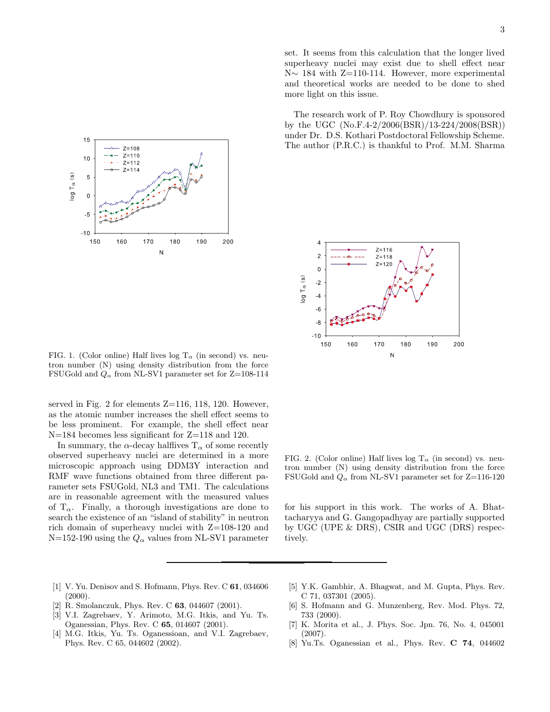

FIG. 1. (Color online) Half lives log  $T_{\alpha}$  (in second) vs. neutron number (N) using density distribution from the force FSUGold and  $Q_{\alpha}$  from NL-SV1 parameter set for Z=108-114

served in Fig. 2 for elements Z=116, 118, 120. However, as the atomic number increases the shell effect seems to be less prominent. For example, the shell effect near N=184 becomes less significant for Z=118 and 120.

In summary, the  $\alpha$ -decay halflives  $T_{\alpha}$  of some recently observed superheavy nuclei are determined in a more microscopic approach using DDM3Y interaction and RMF wave functions obtained from three different parameter sets FSUGold, NL3 and TM1. The calculations are in reasonable agreement with the measured values of  $T_{\alpha}$ . Finally, a thorough investigations are done to search the existence of an "island of stability" in neutron rich domain of superheavy nuclei with Z=108-120 and N=152-190 using the  $Q_{\alpha}$  values from NL-SV1 parameter

[1] V. Yu. Denisov and S. Hofmann, Phys. Rev. C 61, 034606

[2] R. Smolanczuk, Phys. Rev. C **63**, 044607 (2001). [3] V.I. Zagrebaev, Y. Arimoto, M.G. Itkis, and Yu. Ts. Oganessian, Phys. Rev. C 65, 014607 (2001). [4] M.G. Itkis, Yu. Ts. Oganessioan, and V.I. Zagrebaev,

Phys. Rev. C 65, 044602 (2002).

 $(2000)$ .

- [5] Y.K. Gambhir, A. Bhagwat, and M. Gupta, Phys. Rev. C 71, 037301 (2005).
- [6] S. Hofmann and G. Munzenberg, Rev. Mod. Phys. 72, 733 (2000).
- [7] K. Morita et al., J. Phys. Soc. Jpn. 76, No. 4, 045001 (2007).
- [8] Yu.Ts. Oganessian et al., Phys. Rev. C 74, 044602

tron number (N) using density distribution from the force

FSUGold and  $Q_{\alpha}$  from NL-SV1 parameter set for Z=116-120

for his support in this work. The works of A. Bhattacharyya and G. Gangopadhyay are partially supported by UGC (UPE & DRS), CSIR and UGC (DRS) respec-

tively.

FIG. 2. (Color online) Half lives log  $T_{\alpha}$  (in second) vs. neu-

The research work of P. Roy Chowdhury is sponsored by the UGC (No.F.4-2/2006(BSR)/13-224/2008(BSR)) under Dr. D.S. Kothari Postdoctoral Fellowship Scheme. The author (P.R.C.) is thankful to Prof. M.M. Sharma

more light on this issue.

set. It seems from this calculation that the longer lived superheavy nuclei may exist due to shell effect near N∼ 184 with Z=110-114. However, more experimental and theoretical works are needed to be done to shed

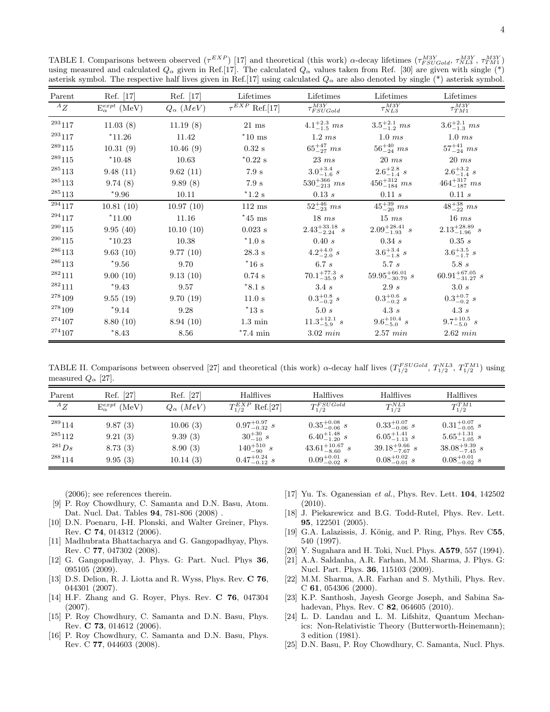TABLE I. Comparisons between observed  $(\tau^{EXP})$  [17] and theoretical (this work)  $\alpha$ -decay lifetimes  $(\tau_{FSUGold}^{M3Y}, \tau_{NLS}^{M3Y}, \tau_{TMI}^{M3Y})$ using measured and calculated  $Q_{\alpha}$  given in Ref.[17]. The calculated  $Q_{\alpha}$  values taken from Ref. [30] are given with single (\*) asterisk symbol. The respective half lives given in Ref.[17] using calculated  $Q_{\alpha}$  are also denoted by single (\*) asterisk symbol.

| Parent           | Ref. [17]                 | Ref. [17]          | Lifetimes             | Lifetimes                 | Lifetimes                    | Lifetimes                    |
|------------------|---------------------------|--------------------|-----------------------|---------------------------|------------------------------|------------------------------|
| ${}^AZ$          | $E_{\alpha}^{expt}$ (MeV) | $Q_{\alpha}$ (MeV) | $\tau^{EXP}$ Ref.[17] | $\tau_{FSUGold}^{M3Y}$    | $\tau_{NL3}^{M3Y}$           | $\tau_{TM1}^{M3Y}$           |
| $\real^{293}117$ | 11.03(8)                  | 11.19(8)           | $21$ ms               | $4.1^{+2.3}_{-1.5}$ ms    | $3.5^{+2.1}_{-1.2}$ ms       | $3.6^{+2.1}_{-1.3}$ ms       |
| $^{293}117$      | $*11.26$                  | 11.42              | $*10$ ms              | 1.2ms                     | 1.0ms                        | 1.0ms                        |
| $^{289}115$      | 10.31(9)                  | 10.46(9)           | $0.32~\mathrm{s}$     | $65^{+47}_{-27}$ ms       | $56^{+40}_{-24}$ ms          | $57^{+41}_{-24}$ ms          |
| $^{289}115\,$    | $*10.48$                  | 10.63              | $*0.22$ s             | 23ms                      | 20ms                         | 20ms                         |
| 285113           | 9.48(11)                  | 9.62(11)           | $7.9~\mathrm{s}$      | $3.0^{+3.4}_{-1.6}$ s     | $2.6^{+2.8}_{-1.4}$ s        | $2.6^{+3.2}_{-1.4}$ s        |
| $^{\rm 285}113$  | 9.74(8)                   | 9.89(8)            | 7.9 s                 | $530^{+366}_{-213}$ ms    | $456^{+312}_{-184}$ ms       | $464^{+317}_{-187}$ ms       |
| $^{\rm 285}113$  | $*9.96$                   | 10.11              | $^*1.2$ s             | 0.13 s                    | 0.11 s                       | 0.11 s                       |
| $^{-294}117$     | 10.81(10)                 | 10.97(10)          | $112$ ms              | $52^{+46}_{-23}$ ms       | $45^{+39}_{-20}$ ms          | $48^{+38}_{-22}$ ms          |
| $^{294}117$      | $*11.00$                  | 11.16              | $*45$ ms              | 18ms                      | 15ms                         | 16ms                         |
| $\real^{290}115$ | 9.95(40)                  | 10.10(10)          | $0.023$ s             | $2.43_{-2.24}^{+33.18}$ s | $2.09_{-1.93}^{+28.41}$ s    | $2.13_{-1.96}^{+28.89}$ s    |
| $^{290}115$      | $*10.23$                  | 10.38              | $^*1.0$ s             | 0.40 s                    | $0.34\ s$                    | 0.35 s                       |
| $^{\rm 286}113$  | 9.63(10)                  | 9.77(10)           | $28.3~\mathrm{s}$     | $4.2^{+4.0}_{-2.0}$ s     | $3.6^{+3.4}_{-1.8}$ s        | $3.6^{+3.5}_{-1.7}$ s        |
| $^{286}113$      | $*9.56$                   | 9.70               | $*16s$                | $6.7\ s$                  | $5.7\ s$                     | 5.8s                         |
| $^{\rm 282}111$  | 9.00(10)                  | 9.13(10)           | $0.74$ s              | $70.1^{+77.3}_{-35.9}$ s  | $59.95_{-30.79}^{+66.01}\ s$ | $60.91^{+67.05}_{-31.27}\ s$ |
| $^{282}111$      | $*9.43$                   | 9.57               | $*8.1$ s              | 3.4s                      | 2.9 s                        | 3.0 s                        |
| $^{278}109$      | 9.55(19)                  | 9.70(19)           | 11.0 s                | $0.3^{+0.8}_{-0.2}$ s     | $0.3^{+0.6}_{-0.2} s$        | $0.3^{+0.7}_{-0.2}$ s        |
| $^{278}109\,$    | $*9.14$                   | 9.28               | $^*13s$               | $5.0\ s$                  | $4.3\ s$                     | $4.3\ s$                     |
| 274107           | 8.80(10)                  | 8.94(10)           | $1.3~\mathrm{min}$    | $11.3^{+12.1}_{-5.9}$ s   | $9.6^{+10.4}_{-5.0} s$       | $9.7^{+10.5}_{-5.0}$ s       |
| $^{274}107\,$    | $*8.43$                   | 8.56               | $^*7.4~\mathrm{min}$  | $3.02 \; min$             | $2.57 \; min$                | $2.62 \, min$                |

TABLE II. Comparisons between observed [27] and theoretical (this work)  $\alpha$ -decay half lives  $(T_{1/2}^{FSUGold}, T_{1/2}^{NLS}, T_{1/2}^{TM1})$  using measured  $Q_{\alpha}$  [27].

| Parent      | Ref. [27]                 | Ref. [27]          | Halflives                | Halflives                  | Halflives                 | Halflives                 |  |
|-------------|---------------------------|--------------------|--------------------------|----------------------------|---------------------------|---------------------------|--|
| ${}^AZ$     | $E_{\alpha}^{expt}$ (MeV) | $Q_{\alpha}$ (MeV) | $T_{1/2}^{EXP}$ Ref.[27] | $T_{1/2}^{FSUGold}$        | $T_{1/2}^{NL3}$           | $T_{1/2}^{TM1}$           |  |
| $^{289}114$ | 9.87(3)                   | 10.06(3)           | $0.97^{+0.97}_{-0.32}$ s | $0.35^{+0.08}_{-0.06}$ s   | $0.33^{+0.07}_{-0.06}$ s  | $0.31^{+0.07}_{-0.05}$ s  |  |
| $^{285}112$ | 9.21(3)                   | 9.39(3)            | $30^{+30}_{-10} s$       | $6.40^{+1.48}_{-1.20}$ s   | $6.05_{-1.13}^{+1.41} s$  | $5.65_{-1.05}^{+1.31}$ s  |  |
| $^{281}Ds$  | 8.73(3)                   | 8.90(3)            | $140^{+510}_{-90} s$     | $43.61^{+10.67}_{-8.60}$ s | $39.18^{+9.66}_{-7.67}$ s | $38.08^{+9.39}_{-7.45}$ s |  |
| $^{288}114$ | 9.95(3)                   | 10.14(3)           | $0.47^{+0.24}_{-0.12}$ s | $0.09^{+0.01}_{-0.02}$ s   | $0.08^{+0.02}_{-0.01}$ s  | $0.08^{+0.01}_{-0.02}$ s  |  |

(2006); see references therein.

- [9] P. Roy Chowdhury, C. Samanta and D.N. Basu, Atom. Dat. Nucl. Dat. Tables 94, 781-806 (2008) .
- [10] D.N. Poenaru, I-H. Plonski, and Walter Greiner, Phys. Rev. C 74, 014312 (2006).
- [11] Madhubrata Bhattacharya and G. Gangopadhyay, Phys. Rev. C 77, 047302 (2008).
- [12] G. Gangopadhyay, J. Phys. G: Part. Nucl. Phys 36, 095105 (2009).
- [13] D.S. Delion, R. J. Liotta and R. Wyss, Phys. Rev. C 76, 044301 (2007).
- [14] H.F. Zhang and G. Royer, Phys. Rev. C 76, 047304 (2007).
- [15] P. Roy Chowdhury, C. Samanta and D.N. Basu, Phys. Rev. C 73, 014612 (2006).
- [16] P. Roy Chowdhury, C. Samanta and D.N. Basu, Phys. Rev. C 77, 044603 (2008).
- [17] Yu. Ts. Oganessian et al., Phys. Rev. Lett. 104, 142502 (2010).
- [18] J. Piekarewicz and B.G. Todd-Rutel, Phys. Rev. Lett. 95, 122501 (2005).
- [19] G.A. Lalazissis, J. König, and P. Ring, Phys. Rev C55, 540 (1997).
- [20] Y. Sugahara and H. Toki, Nucl. Phys. A579, 557 (1994).
- [21] A.A. Saldanha, A.R. Farhan, M.M. Sharma, J. Phys. G: Nucl. Part. Phys. 36, 115103 (2009).
- [22] M.M. Sharma, A.R. Farhan and S. Mythili, Phys. Rev. C 61, 054306 (2000).
- [23] K.P. Santhosh, Jayesh George Joseph, and Sabina Sahadevan, Phys. Rev. C 82, 064605 (2010).
- [24] L. D. Landau and L. M. Lifshitz, Quantum Mechanics: Non-Relativistic Theory (Butterworth-Heinemann); 3 edition (1981).
- [25] D.N. Basu, P. Roy Chowdhury, C. Samanta, Nucl. Phys.